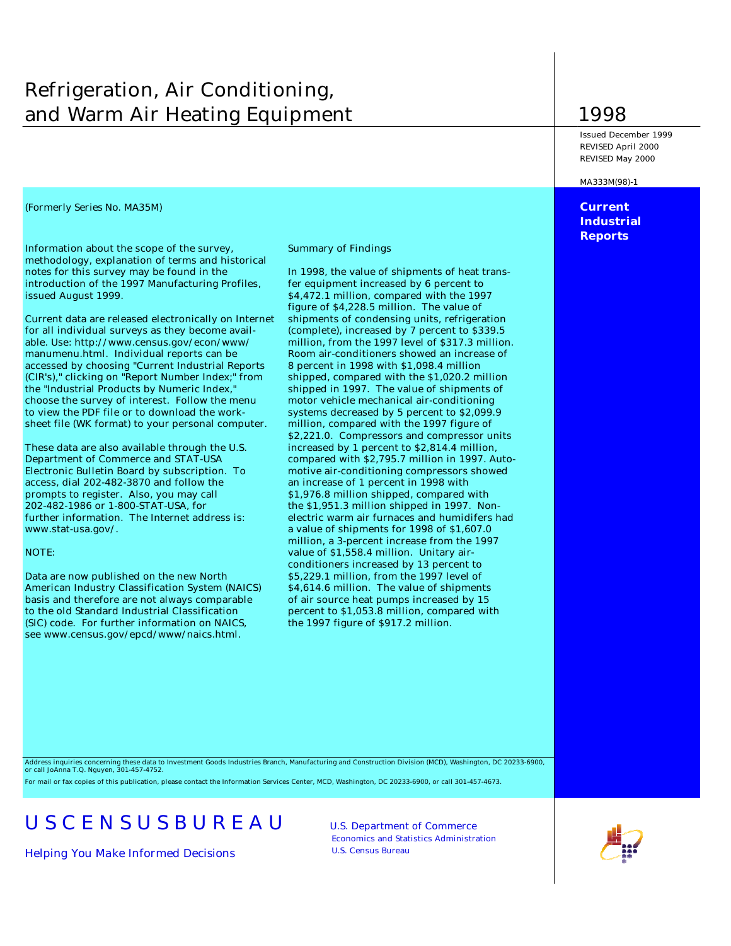## Refrigeration, Air Conditioning, and Warm Air Heating Equipment 1998

*(Formerly Series No. MA35M)* **Current** 

Information about the scope of the survey, Summary of Findings methodology, explanation of terms and historical notes for this survey may be found in the In 1998, the value of shipments of heat transintroduction of the 1997 Manufacturing Profiles, fer equipment increased by 6 percent to issued August 1999. **\$4,472.1 million, compared with the 1997** 

for all individual surveys as they become avail- (complete), increased by 7 percent to \$339.5 able. Use: http://www.census.gov/econ/www/ million, from the 1997 level of \$317.3 million. manumenu.html. Individual reports can be Room air-conditioners showed an increase of accessed by choosing "Current Industrial Reports 8 percent in 1998 with \$1,098.4 million (CIR's)," clicking on "Report Number Index;" from shipped, compared with the \$1,020.2 million choose the survey of interest. Follow the menu motor vehicle mechanical air-conditioning to view the PDF file or to download the work- systems decreased by 5 percent to \$2,099.9 sheet file (WK format) to your personal computer. million, compared with the 1997 figure of

These data are also available through the U.S. increased by 1 percent to \$2,814.4 million, Electronic Bulletin Board by subscription. To motive air-conditioning compressors showed access, dial 202-482-3870 and follow the an increase of 1 percent in 1998 with prompts to register. Also, you may call \$1,976.8 million shipped, compared with 202-482-1986 or 1-800-STAT-USA, for the \$1,951.3 million shipped in 1997. Nonfurther information. The Internet address is: electric warm air furnaces and humidifers had www.stat-usa.gov/. a value of shipments for 1998 of \$1,607.0

Data are now published on the new North \$5,229.1 million, from the 1997 level of American Industry Classification System (NAICS) \$4,614.6 million. The value of shipments basis and therefore are not always comparable of air source heat pumps increased by 15 to the old Standard Industrial Classification percent to \$1,053.8 million, compared with (SIC) code. For further information on NAICS, the 1997 figure of \$917.2 million. see www.census.gov/epcd/www/naics.html.

figure of \$4,228.5 million. The value of Current data are released electronically on Internet shipments of condensing units, refrigeration shipped in 1997. The value of shipments of \$2,221.0. Compressors and compressor units Department of Commerce and STAT-USA compared with \$2,795.7 million in 1997. Automillion, a 3-percent increase from the 1997 NOTE: value of \$1,558.4 million. Unitary airconditioners increased by 13 percent to

Issued December 1999 REVISED April 2000 REVISED May 2000

MA333M(98)-1

**Industrial Reports**

Address inquiries concerning these data to Investment Goods Industries Branch, Manufacturing and Construction Division (MCD), Washington, DC 20233-6900, or call JoAnna T.Q. Nguyen, 301-457-4752.

For mail or fax copies of this publication, please contact the Information Services Center, MCD, Washington, DC 20233-6900, or call 301-457-4673.

# USCENSUSBUREAU U.S. Department of Commerce

*Helping You Make Informed Decisions* U.S. Census Bureau

Economics and Statistics Administration

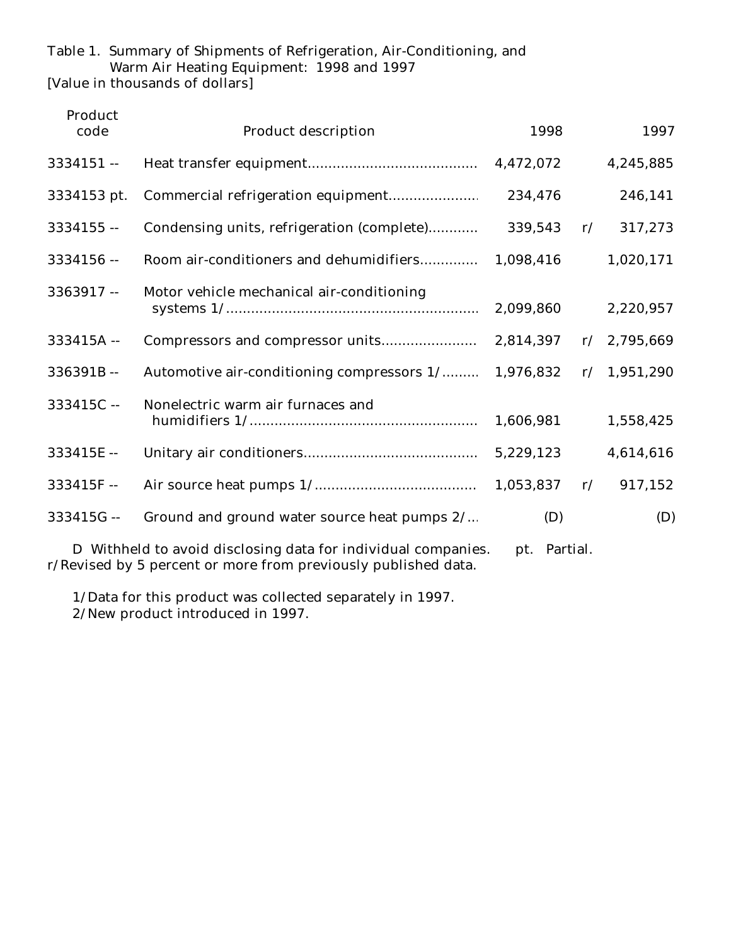## Table 1. Summary of Shipments of Refrigeration, Air-Conditioning, and Warm Air Heating Equipment: 1998 and 1997

[Value in thousands of dollars]

| Product<br>code                                                                                                                                 | <b>Product description</b>                           | 1998    |    | 1997        |  |  |
|-------------------------------------------------------------------------------------------------------------------------------------------------|------------------------------------------------------|---------|----|-------------|--|--|
| $3334151 -$                                                                                                                                     |                                                      |         |    | 4,245,885   |  |  |
| 3334153 pt.                                                                                                                                     |                                                      | 234,476 |    | 246,141     |  |  |
| $3334155 -$                                                                                                                                     | Condensing units, refrigeration (complete)           | 339,543 | r/ | 317,273     |  |  |
| $3334156 -$                                                                                                                                     |                                                      |         |    | 1,020,171   |  |  |
| 3363917 --                                                                                                                                      | Motor vehicle mechanical air-conditioning            |         |    | 2,220,957   |  |  |
| 333415A --                                                                                                                                      |                                                      |         |    | r/2,795,669 |  |  |
| $336391B -$                                                                                                                                     | Automotive air-conditioning compressors 1/ 1,976,832 |         |    | r/1,951,290 |  |  |
| 333415C-                                                                                                                                        | Nonelectric warm air furnaces and                    |         |    | 1,558,425   |  |  |
| 333415E-                                                                                                                                        |                                                      |         |    | 4,614,616   |  |  |
| $333415F -$                                                                                                                                     |                                                      |         |    | 917,152     |  |  |
| $333415G -$                                                                                                                                     | Ground and ground water source heat pumps 2/         | (D)     |    | (D)         |  |  |
| D Withheld to avoid disclosing data for individual companies.<br>pt. Partial.<br>r/Revised by 5 percent or more from previously published data. |                                                      |         |    |             |  |  |

1/Data for this product was collected separately in 1997.

2/New product introduced in 1997.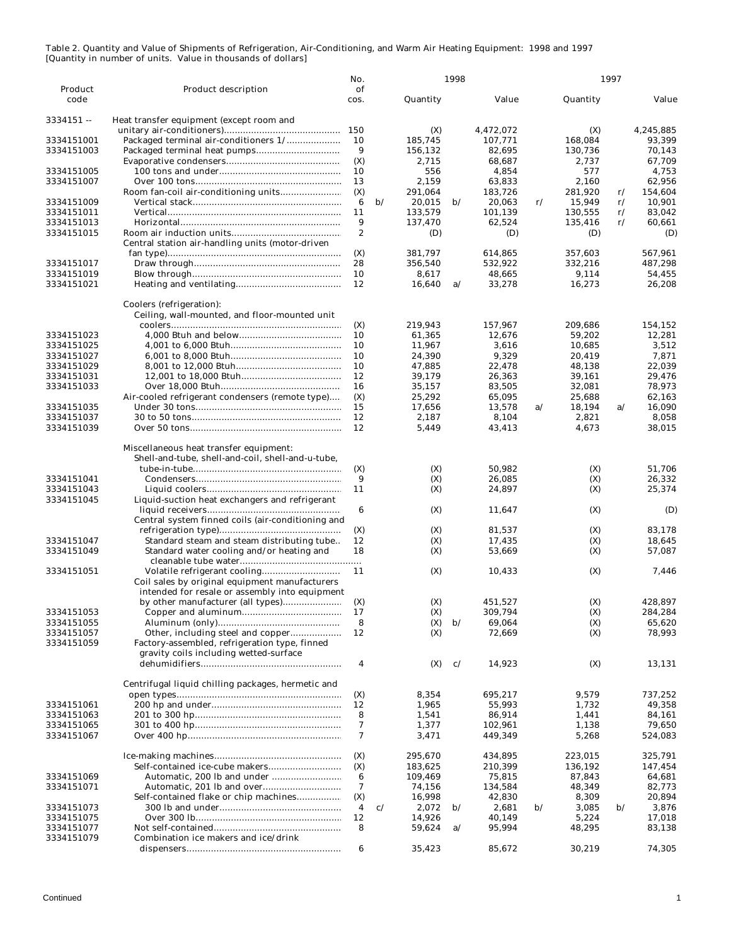|             |                                                                                             | No.              |               |            | 1998          |                  |               |            | 1997          |                   |
|-------------|---------------------------------------------------------------------------------------------|------------------|---------------|------------|---------------|------------------|---------------|------------|---------------|-------------------|
| Product     | <b>Product description</b>                                                                  | of               |               |            |               |                  |               |            |               |                   |
| code        |                                                                                             | cos.             |               | Quantity   |               | Value            |               | Quantity   |               | Value             |
| $3334151 -$ | Heat transfer equipment (except room and                                                    |                  |               |            |               |                  |               |            |               |                   |
|             |                                                                                             |                  |               | (X)        |               | 4,472,072        |               | (X)        |               | 4,245,885         |
| 3334151001  |                                                                                             | 10               |               | 185,745    |               | 107.771          |               | 168,084    |               | 93,399            |
| 3334151003  |                                                                                             | 9                |               | 156,132    |               | 82,695           |               | 130,736    |               | 70,143            |
|             |                                                                                             | (X)              |               | 2,715      |               | 68,687           |               | 2,737      |               | 67,709            |
| 3334151005  |                                                                                             | 10               |               | 556        |               | 4,854            |               | 577        |               | 4,753             |
| 3334151007  |                                                                                             | 13               |               | 2,159      |               | 63,833           |               | 2,160      |               | 62,956            |
|             |                                                                                             | (X)              |               | 291,064    |               | 183,726          |               | 281,920    | $\mathbf{r}/$ | 154,604           |
| 3334151009  |                                                                                             | 6                | $\mathbf{b}/$ | 20,015     | $\mathbf{b}/$ | 20,063           | r/            | 15,949     | r/            | 10,901            |
| 3334151011  |                                                                                             | 11               |               | 133,579    |               | 101,139          |               | 130,555    | r/            | 83,042            |
| 3334151013  |                                                                                             | 9                |               | 137,470    |               | 62,524           |               | 135,416    | r/            | 60,661            |
| 3334151015  |                                                                                             | $\boldsymbol{2}$ |               | (D)        |               | (D)              |               | (D)        |               | (D)               |
|             | Central station air-handling units (motor-driven                                            |                  |               |            |               |                  |               |            |               |                   |
|             |                                                                                             | (X)              |               | 381,797    |               | 614,865          |               | 357,603    |               | 567,961           |
| 3334151017  |                                                                                             | 28               |               | 356,540    |               | 532,922          |               | 332,216    |               | 487,298           |
| 3334151019  |                                                                                             | 10               |               | 8,617      |               | 48,665           |               | 9,114      |               | 54,455            |
| 3334151021  |                                                                                             | 12               |               | 16,640     | a/            | 33,278           |               | 16,273     |               | 26,208            |
|             |                                                                                             |                  |               |            |               |                  |               |            |               |                   |
|             | Coolers (refrigeration):                                                                    |                  |               |            |               |                  |               |            |               |                   |
|             | Ceiling, wall-mounted, and floor-mounted unit                                               |                  |               |            |               |                  |               |            |               |                   |
|             |                                                                                             | (X)              |               | 219,943    |               | 157,967          |               | 209,686    |               | 154,152           |
| 3334151023  |                                                                                             | 10               |               | 61,365     |               | 12.676           |               | 59,202     |               | 12.281            |
| 3334151025  |                                                                                             | 10               |               | 11.967     |               | 3,616            |               | 10,685     |               | 3,512             |
| 3334151027  |                                                                                             | 10               |               | 24,390     |               | 9,329            |               | 20,419     |               | 7,871             |
| 3334151029  |                                                                                             | 10               |               | 47,885     |               | 22,478           |               | 48,138     |               | 22,039            |
| 3334151031  |                                                                                             | 12               |               | 39,179     |               | 26,363           |               | 39,161     |               | 29,476            |
| 3334151033  |                                                                                             | 16               |               | 35,157     |               | 83,505           |               | 32,081     |               | 78.973            |
|             | Air-cooled refrigerant condensers (remote type)                                             | (X)              |               | 25,292     |               | 65,095           |               | 25,688     |               | 62,163            |
| 3334151035  |                                                                                             | 15               |               | 17,656     |               | 13,578           | a/            | 18,194     | a/            | 16,090            |
| 3334151037  |                                                                                             | 12               |               | 2.187      |               | 8,104            |               | 2,821      |               | 8,058             |
| 3334151039  |                                                                                             | 12               |               | 5,449      |               | 43,413           |               | 4,673      |               | 38,015            |
|             |                                                                                             |                  |               |            |               |                  |               |            |               |                   |
|             | Miscellaneous heat transfer equipment:<br>Shell-and-tube, shell-and-coil, shell-and-u-tube, |                  |               |            |               |                  |               |            |               |                   |
|             |                                                                                             | (X)              |               |            |               | 50,982           |               |            |               | 51,706            |
|             |                                                                                             | 9                |               | (X)        |               |                  |               | (X)        |               |                   |
| 3334151041  |                                                                                             |                  |               | (X)        |               | 26,085           |               | (X)        |               | 26,332            |
| 3334151043  |                                                                                             | 11               |               | (X)        |               | 24,897           |               | (X)        |               | 25,374            |
| 3334151045  | Liquid-suction heat exchangers and refrigerant                                              |                  |               |            |               |                  |               |            |               |                   |
|             |                                                                                             | 6                |               | (X)        |               | 11,647           |               | (X)        |               | (D)               |
|             | Central system finned coils (air-conditioning and                                           |                  |               |            |               |                  |               | (X)        |               | 83,178            |
| 3334151047  |                                                                                             | (X)<br>12        |               | (X)<br>(X) |               | 81,537<br>17,435 |               | (X)        |               | 18.645            |
| 3334151049  | Standard steam and steam distributing tube                                                  | 18               |               |            |               | 53,669           |               | (X)        |               | 57,087            |
|             | Standard water cooling and/or heating and                                                   |                  |               | (X)        |               |                  |               |            |               |                   |
| 3334151051  |                                                                                             | 11               |               | (X)        |               | 10,433           |               | (X)        |               | 7,446             |
|             | Coil sales by original equipment manufacturers                                              |                  |               |            |               |                  |               |            |               |                   |
|             | intended for resale or assembly into equipment                                              |                  |               |            |               |                  |               |            |               |                   |
|             |                                                                                             | (X)              |               | (X)        |               | 451,527          |               | (X)        |               | 428,897           |
| 3334151053  |                                                                                             | 17               |               |            |               | 309,794          |               |            |               |                   |
| 3334151055  |                                                                                             | 8                |               | (X)<br>(X) | $\mathbf{b}$  | 69,064           |               | (X)<br>(X) |               | 284,284<br>65,620 |
| 3334151057  |                                                                                             | 12               |               | (X)        |               | 72,669           |               | (X)        |               | 78,993            |
| 3334151059  | Factory-assembled, refrigeration type, finned                                               |                  |               |            |               |                  |               |            |               |                   |
|             | gravity coils including wetted-surface                                                      |                  |               |            |               |                  |               |            |               |                   |
|             |                                                                                             | 4                |               | (X)        | c/            | 14,923           |               | (X)        |               | 13,131            |
|             |                                                                                             |                  |               |            |               |                  |               |            |               |                   |
|             | Centrifugal liquid chilling packages, hermetic and                                          |                  |               |            |               |                  |               |            |               |                   |
|             |                                                                                             | (X)              |               | 8,354      |               | 695,217          |               | 9.579      |               | 737,252           |
| 3334151061  |                                                                                             | 12               |               | 1,965      |               | 55,993           |               | 1,732      |               | 49,358            |
| 3334151063  |                                                                                             | 8                |               | 1,541      |               | 86,914           |               | 1,441      |               | 84,161            |
| 3334151065  |                                                                                             | 7                |               | 1,377      |               | 102,961          |               | 1,138      |               | 79,650            |
| 3334151067  |                                                                                             | 7                |               | 3,471      |               | 449,349          |               | 5,268      |               | 524,083           |
|             |                                                                                             |                  |               |            |               |                  |               |            |               |                   |
|             |                                                                                             | (X)              |               | 295,670    |               | 434,895          |               | 223,015    |               | 325,791           |
|             |                                                                                             | (X)              |               | 183,625    |               | 210,399          |               | 136,192    |               | 147,454           |
| 3334151069  |                                                                                             | 6                |               | 109,469    |               | 75,815           |               | 87,843     |               | 64,681            |
| 3334151071  |                                                                                             | 7                |               | 74,156     |               | 134,584          |               | 48,349     |               | 82,773            |
|             | Self-contained flake or chip machines                                                       | (X)              |               | 16,998     |               | 42,830           |               | 8,309      |               | 20,894            |
| 3334151073  |                                                                                             | 4                | c/            | 2,072      | $\mathbf{b}$  | 2,681            | $\mathbf{b}/$ | 3,085      | $\mathbf{b}$  | 3,876             |
| 3334151075  |                                                                                             | 12               |               | 14,926     |               | 40,149           |               | 5,224      |               | 17,018            |
| 3334151077  |                                                                                             | 8                |               | 59,624     | a/            | 95,994           |               | 48,295     |               | 83,138            |
| 3334151079  | Combination ice makers and ice/drink                                                        |                  |               |            |               |                  |               |            |               |                   |
|             |                                                                                             | 6                |               | 35,423     |               | 85,672           |               | 30,219     |               | 74,305            |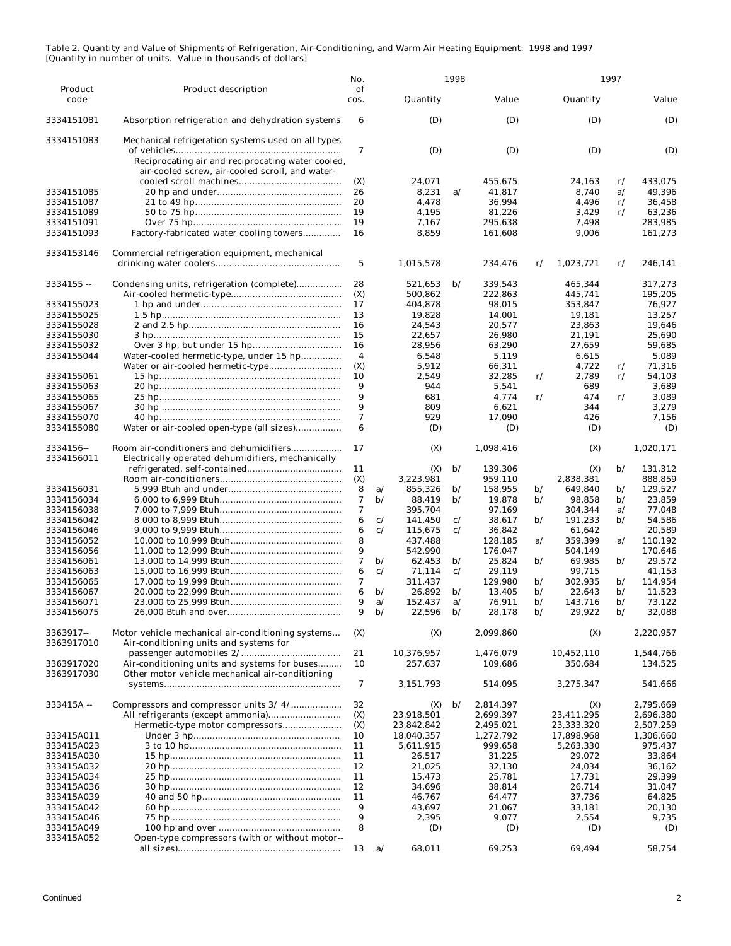|                          |                                                    | No.                     |                    |                         | 1998                           |                        |                                |                         | 1997                           |                        |
|--------------------------|----------------------------------------------------|-------------------------|--------------------|-------------------------|--------------------------------|------------------------|--------------------------------|-------------------------|--------------------------------|------------------------|
| Product<br>code          | <b>Product description</b>                         | of<br>cos.              |                    | Quantity                |                                | Value                  |                                | Quantity                |                                | Value                  |
|                          |                                                    |                         |                    |                         |                                |                        |                                |                         |                                |                        |
| 3334151081               | Absorption refrigeration and dehydration systems   | 6                       |                    | (D)                     |                                | (D)                    |                                | (D)                     |                                | (D)                    |
| 3334151083               | Mechanical refrigeration systems used on all types |                         |                    |                         |                                |                        |                                |                         |                                |                        |
|                          |                                                    | 7                       |                    | (D)                     |                                | (D)                    |                                | (D)                     |                                | (D)                    |
|                          | Reciprocating air and reciprocating water cooled,  |                         |                    |                         |                                |                        |                                |                         |                                |                        |
|                          | air-cooled screw, air-cooled scroll, and water-    |                         |                    |                         |                                |                        |                                |                         |                                |                        |
|                          |                                                    | (X)                     |                    | 24,071                  |                                | 455,675                |                                | 24,163                  | $\mathbf{r}/$                  | 433,075                |
| 3334151085               |                                                    | 26                      |                    | 8,231                   | a/                             | 41,817                 |                                | 8,740                   | a/                             | 49,396                 |
| 3334151087               |                                                    | 20                      |                    | 4,478                   |                                | 36,994                 |                                | 4,496                   | $\mathbf{r}/$                  | 36,458                 |
| 3334151089               |                                                    | 19                      |                    | 4,195                   |                                | 81.226                 |                                | 3,429                   | r/                             | 63,236                 |
| 3334151091               |                                                    | 19                      |                    | 7,167                   |                                | 295,638                |                                | 7,498                   |                                | 283,985                |
| 3334151093               | Factory-fabricated water cooling towers            | 16                      |                    | 8,859                   |                                | 161,608                |                                | 9,006                   |                                | 161,273                |
| 3334153146               | Commercial refrigeration equipment, mechanical     |                         |                    |                         |                                |                        |                                |                         |                                |                        |
|                          |                                                    | $\mathbf 5$             |                    | 1,015,578               |                                | 234,476                | $\mathbf{r}/$                  | 1,023,721               | r/                             | 246,141                |
|                          |                                                    |                         |                    |                         |                                |                        |                                |                         |                                |                        |
| $3334155 -$              | Condensing units, refrigeration (complete)         | 28                      |                    | 521,653                 | $\mathbf{b}$                   | 339,543                |                                | 465,344                 |                                | 317,273                |
|                          |                                                    | (X)                     |                    | 500,862                 |                                | 222,863                |                                | 445,741                 |                                | 195,205                |
| 3334155023               |                                                    | 17                      |                    | 404,878                 |                                | 98,015                 |                                | 353,847                 |                                | 76,927                 |
| 3334155025               |                                                    | 13                      |                    | 19,828                  |                                | 14,001                 |                                | 19,181                  |                                | 13,257                 |
| 3334155028               |                                                    | 16                      |                    | 24,543                  |                                | 20,577                 |                                | 23,863                  |                                | 19,646                 |
| 3334155030               |                                                    | 15                      |                    | 22,657                  |                                | 26,980                 |                                | 21,191                  |                                | 25,690                 |
| 3334155032               |                                                    | 16                      |                    | 28,956                  |                                | 63,290                 |                                | 27,659                  |                                | 59,685                 |
| 3334155044               | Water-cooled hermetic-type, under 15 hp            | $\overline{\mathbf{4}}$ |                    | 6,548                   |                                | 5,119                  |                                | 6,615                   |                                | 5,089                  |
| 3334155061               | Water or air-cooled hermetic-type                  | (X)<br>10               |                    | 5,912<br>2,549          |                                | 66,311<br>32,285       | r/                             | 4,722<br>2,789          | $\mathbf{r}/$<br>$\mathbf{r}/$ | 71,316<br>54,103       |
| 3334155063               |                                                    | 9                       |                    | 944                     |                                | 5,541                  |                                | 689                     |                                | 3,689                  |
| 3334155065               |                                                    | 9                       |                    | 681                     |                                | 4,774                  | $\mathbf{r}/$                  | 474                     | $\mathbf{r}/$                  | 3,089                  |
| 3334155067               |                                                    | 9                       |                    | 809                     |                                | 6,621                  |                                | 344                     |                                | 3,279                  |
| 3334155070               |                                                    | 7                       |                    | 929                     |                                | 17,090                 |                                | 426                     |                                | 7,156                  |
| 3334155080               | Water or air-cooled open-type (all sizes)          | 6                       |                    | (D)                     |                                | (D)                    |                                | (D)                     |                                | (D)                    |
|                          |                                                    |                         |                    |                         |                                |                        |                                |                         |                                |                        |
| 3334156--                | Room air-conditioners and dehumidifiers            | 17                      |                    | (X)                     |                                | 1,098,416              |                                | (X)                     |                                | 1,020,171              |
| 3334156011               | Electrically operated dehumidifiers, mechanically  |                         |                    |                         |                                |                        |                                |                         |                                |                        |
|                          |                                                    | 11                      |                    | (X)                     | $\mathbf{b}/$                  | 139,306                |                                | (X)                     | $\mathbf{b}/$                  | 131,312                |
|                          |                                                    | (X)<br>8                |                    | 3,223,981               |                                | 959,110                |                                | 2,838,381<br>649,840    | $\mathbf{b}/$                  | 888,859                |
| 3334156031<br>3334156034 |                                                    | 7                       | a/<br>$\mathbf{b}$ | 855,326<br>88,419       | $\mathbf{b}/$<br>$\mathbf{b}/$ | 158,955<br>19,878      | $\mathbf{b}/$<br>$\mathbf{b}/$ | 98,858                  | $\mathbf{b}/$                  | 129,527<br>23,859      |
| 3334156038               |                                                    | 7                       |                    | 395,704                 |                                | 97,169                 |                                | 304,344                 | a/                             | 77,048                 |
| 3334156042               |                                                    | 6                       | c/                 | 141,450                 | c/                             | 38,617                 | $\mathbf{b}/$                  | 191,233                 | $\mathbf{b}/$                  | 54,586                 |
| 3334156046               |                                                    | 6                       | c/                 | 115,675                 | c/                             | 36,842                 |                                | 61,642                  |                                | 20,589                 |
| 3334156052               |                                                    | 8                       |                    | 437,488                 |                                | 128,185                | a/                             | 359,399                 | a/                             | 110,192                |
| 3334156056               |                                                    | 9                       |                    | 542,990                 |                                | 176,047                |                                | 504,149                 |                                | 170,646                |
| 3334156061               |                                                    | 7                       | $\mathbf{b}/$      | 62,453                  | $\mathbf{b}/$                  | 25,824                 | $\mathbf{b}$                   | 69,985                  | $\mathbf{b}/$                  | 29,572                 |
| 3334156063               |                                                    | 6                       | c/                 | 71,114                  | c/                             | 29,119                 |                                | 99,715                  |                                | 41,153                 |
| 3334156065               |                                                    | 7                       |                    | 311,437                 |                                | 129,980                | $\mathbf{b}$                   | 302,935                 | $\mathbf{b}/$                  | 114,954                |
| 3334156067               |                                                    | 6                       | $\mathbf{b}/$      | 26,892                  | $\mathbf{b}/$                  | 13,405                 | $\mathbf{b}/$                  | 22,643                  | $\mathbf{b}/$                  | 11,523                 |
| 3334156071               |                                                    | 9                       | a/                 | 152,437                 | a/                             | 76,911                 | $\mathbf{b}/$                  | 143,716                 | $\mathbf{b}/$                  | 73,122                 |
| 3334156075               |                                                    | 9                       | b/                 | 22,596                  | b/                             | 28,178                 | $\mathbf{p}/$                  | 29,922                  | b/                             | 32,088                 |
| 3363917 --               | Motor vehicle mechanical air-conditioning systems  | (X)                     |                    | (X)                     |                                | 2,099,860              |                                | (X)                     |                                | 2,220,957              |
| 3363917010               | Air-conditioning units and systems for             |                         |                    |                         |                                |                        |                                |                         |                                |                        |
|                          |                                                    | 21                      |                    | 10,376,957              |                                | 1,476,079              |                                | 10,452,110              |                                | 1,544,766              |
| 3363917020               | Air-conditioning units and systems for buses       | 10                      |                    | 257,637                 |                                | 109,686                |                                | 350,684                 |                                | 134,525                |
| 3363917030               | Other motor vehicle mechanical air-conditioning    |                         |                    |                         |                                |                        |                                |                         |                                |                        |
|                          |                                                    | 7                       |                    | 3,151,793               |                                | 514,095                |                                | 3,275,347               |                                | 541,666                |
|                          |                                                    |                         |                    |                         |                                |                        |                                |                         |                                |                        |
| $333415A -$              |                                                    | 32                      |                    | (X)                     | $\mathbf{b}$                   | 2,814,397              |                                | (X)                     |                                | 2,795,669              |
|                          |                                                    | (X)                     |                    | 23,918,501              |                                | 2,699,397              |                                | 23,411,295              |                                | 2,696,380              |
| 333415A011               | Hermetic-type motor compressors                    | (X)<br>10               |                    | 23,842,842              |                                | 2,495,021<br>1,272,792 |                                | 23,333,320              |                                | 2,507,259<br>1,306,660 |
| 333415A023               |                                                    | 11                      |                    | 18,040,357<br>5,611,915 |                                | 999,658                |                                | 17,898,968<br>5,263,330 |                                | 975,437                |
| 333415A030               |                                                    | 11                      |                    | 26,517                  |                                | 31,225                 |                                | 29,072                  |                                | 33,864                 |
| 333415A032               |                                                    | 12                      |                    | 21,025                  |                                | 32,130                 |                                | 24,034                  |                                | 36,162                 |
| 333415A034               |                                                    | 11                      |                    | 15,473                  |                                | 25,781                 |                                | 17,731                  |                                | 29,399                 |
| 333415A036               |                                                    | 12                      |                    | 34,696                  |                                | 38,814                 |                                | 26,714                  |                                | 31,047                 |
| <b>333415A039</b>        |                                                    | 11                      |                    | 46,767                  |                                | 64,477                 |                                | 37,736                  |                                | 64,825                 |
| 333415A042               |                                                    | 9                       |                    | 43,697                  |                                | 21,067                 |                                | 33,181                  |                                | 20,130                 |
| <b>333415A046</b>        |                                                    | 9                       |                    | 2,395                   |                                | 9,077                  |                                | 2,554                   |                                | 9,735                  |
| 333415A049               |                                                    | 8                       |                    | (D)                     |                                | (D)                    |                                | (D)                     |                                | (D)                    |
| 333415A052               | Open-type compressors (with or without motor--     |                         |                    |                         |                                |                        |                                |                         |                                |                        |
|                          |                                                    | 13                      | a/                 | 68,011                  |                                | 69,253                 |                                | 69,494                  |                                | 58,754                 |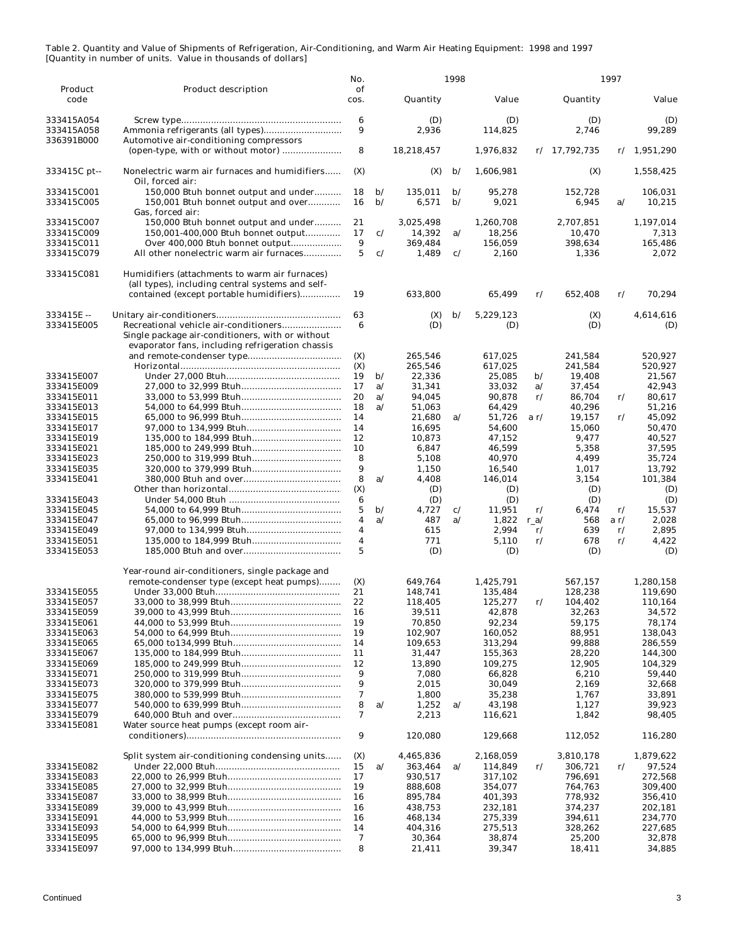|                                 |                                                                                                    | No.        |                              |                    | 1998                           |                    |               |                    | 1997          |                    |
|---------------------------------|----------------------------------------------------------------------------------------------------|------------|------------------------------|--------------------|--------------------------------|--------------------|---------------|--------------------|---------------|--------------------|
| Product<br>code                 | <b>Product description</b>                                                                         | of<br>cos. |                              | Quantity           |                                | Value              |               | Quantity           |               | Value              |
| 333415A054<br>333415A058        | Ammonia refrigerants (all types)                                                                   | 6<br>9     |                              | (D)<br>2,936       |                                | (D)<br>114,825     |               | (D)<br>2,746       |               | (D)<br>99,289      |
| 336391B000                      | Automotive air-conditioning compressors                                                            | 8          |                              | 18,218,457         |                                | 1,976,832          |               | $r/$ 17,792,735    |               | r/1,951,290        |
| 333415C pt--                    | Nonelectric warm air furnaces and humidifiers<br>Oil, forced air:                                  | (X)        |                              | (X)                | $\mathbf{b}$                   | 1,606,981          |               | (X)                |               | 1,558,425          |
| 333415C001<br>333415C005        | 150,000 Btuh bonnet output and under<br>150,001 Btuh bonnet output and over                        | 18<br>16   | $\mathbf{b}$<br>$\mathbf{b}$ | 135.011<br>6,571   | $\mathbf{b}/$<br>$\mathbf{b}/$ | 95,278<br>9,021    |               | 152,728<br>6,945   | a/            | 106,031<br>10,215  |
| 333415C007                      | Gas, forced air:<br>150,000 Btuh bonnet output and under                                           | 21         |                              | 3,025,498          |                                | 1,260,708          |               | 2,707,851          |               | 1,197,014          |
| 333415C009                      | 150,001-400,000 Btuh bonnet output                                                                 | 17         | c/                           | 14,392             | a/                             | 18,256             |               | 10,470             |               | 7,313              |
| 333415C011                      | Over 400,000 Btuh bonnet output                                                                    | 9          |                              | 369,484            |                                | 156,059            |               | 398,634            |               | 165,486            |
| 333415C079                      | All other nonelectric warm air furnaces                                                            | 5          | c/                           | 1,489              | c/                             | 2,160              |               | 1,336              |               | 2,072              |
| 333415C081                      | Humidifiers (attachments to warm air furnaces)<br>(all types), including central systems and self- |            |                              |                    |                                |                    |               |                    |               |                    |
|                                 | contained (except portable humidifiers)                                                            | 19         |                              | 633,800            |                                | 65,499             | r/            | 652,408            | r/            | 70,294             |
| 333415E-<br>333415E005          | Single package air-conditioners, with or without                                                   | 63<br>6    |                              | (X)<br>(D)         | $\mathbf{b}/$                  | 5,229,123<br>(D)   |               | (X)<br>(D)         |               | 4,614,616<br>(D)   |
|                                 | evaporator fans, including refrigeration chassis                                                   | (X)        |                              | 265,546            |                                | 617.025            |               | 241,584            |               | 520.927            |
|                                 |                                                                                                    | (X)        |                              | 265,546            |                                | 617,025            |               | 241,584            |               | 520,927            |
| 333415E007                      |                                                                                                    | 19         | $\mathbf{b}$                 | 22,336             |                                | 25,085             | b/            | 19,408             |               | 21,567             |
| 333415E009                      |                                                                                                    | 17         | a/                           | 31,341             |                                | 33,032             | a/            | 37,454             |               | 42,943             |
| 333415E011                      |                                                                                                    | 20         | a/                           | 94,045             |                                | 90,878             | $\mathbf{r}/$ | 86,704             | r/            | 80,617             |
| 333415E013                      |                                                                                                    | 18         | a/                           | 51,063             |                                | 64,429             |               | 40,296             |               | 51,216             |
| 333415E015<br>333415E017        |                                                                                                    | 14<br>14   |                              | 21,680             | a/                             | 51,726<br>54,600   | a r/          | 19,157<br>15,060   | r/            | 45,092<br>50,470   |
| 333415E019                      |                                                                                                    | 12         |                              | 16,695<br>10,873   |                                | 47,152             |               | 9,477              |               | 40,527             |
| 333415E021                      |                                                                                                    | 10         |                              | 6,847              |                                | 46,599             |               | 5,358              |               | 37,595             |
| 333415E023                      |                                                                                                    | 8          |                              | 5,108              |                                | 40,970             |               | 4,499              |               | 35,724             |
| 333415E035                      |                                                                                                    | 9          |                              | 1,150              |                                | 16,540             |               | 1,017              |               | 13,792             |
| 333415E041                      |                                                                                                    | 8          | a/                           | 4,408              |                                | 146,014            |               | 3,154              |               | 101,384            |
|                                 |                                                                                                    | (X)        |                              | (D)                |                                | (D)                |               | (D)                |               | (D)                |
| 333415E043<br>333415E045        |                                                                                                    | 6<br>5     | $\mathbf{b}/$                | (D)<br>4,727       | c/                             | (D)<br>11,951      | $\mathbf{r}/$ | (D)<br>6,474       | $\mathbf{r}/$ | (D)<br>15,537      |
| 333415E047                      |                                                                                                    | 4          | a/                           | 487                | a/                             | 1,822              | $r_a/$        | 568                | ar/           | 2,028              |
| 333415E049                      |                                                                                                    | 4          |                              | 615                |                                | 2,994              | r/            | 639                | $\mathbf{r}/$ | 2,895              |
| 333415E051                      |                                                                                                    | 4          |                              | 771                |                                | 5,110              | $\mathbf{r}/$ | 678                | r/            | 4,422              |
| 333415E053                      |                                                                                                    | 5          |                              | (D)                |                                | (D)                |               | (D)                |               | (D)                |
|                                 | Year-round air-conditioners, single package and                                                    |            |                              |                    |                                |                    |               |                    |               |                    |
|                                 | remote-condenser type (except heat pumps)                                                          | (X)        |                              | 649,764            |                                | 1,425,791          |               | 567.157            |               | 1,280,158          |
| 333415E055                      |                                                                                                    | 21         |                              | 148,741            |                                | 135,484            |               | 128,238            |               | 119,690            |
| 333415E057                      |                                                                                                    | 22<br>16   |                              | 118,405            |                                | 125,277            | $\mathbf{r}/$ | 104,402<br>32,263  |               | 110,164            |
| <b>333415E059</b><br>333415E061 |                                                                                                    | 19         |                              | 39,511<br>70,850   |                                | 42,878<br>92,234   |               | 59,175             |               | 34,572<br>78,174   |
| 333415E063                      |                                                                                                    | 19         |                              | 102,907            |                                | 160,052            |               | 88,951             |               | 138,043            |
| 333415E065                      |                                                                                                    | 14         |                              | 109,653            |                                | 313,294            |               | 99,888             |               | 286,559            |
| 333415E067                      |                                                                                                    | 11         |                              | 31,447             |                                | 155,363            |               | 28,220             |               | 144,300            |
| 333415E069                      |                                                                                                    | 12         |                              | 13,890             |                                | 109,275            |               | 12,905             |               | 104,329            |
| 333415E071<br>333415E073        |                                                                                                    | 9<br>9     |                              | 7,080<br>2,015     |                                | 66,828<br>30,049   |               | 6,210<br>2,169     |               | 59,440<br>32,668   |
| 333415E075                      |                                                                                                    | 7          |                              | 1,800              |                                | 35,238             |               | 1,767              |               | 33,891             |
| 333415E077                      |                                                                                                    | 8          | a/                           | 1,252              | a/                             | 43,198             |               | 1,127              |               | 39,923             |
| 333415E079                      |                                                                                                    | 7          |                              | 2,213              |                                | 116,621            |               | 1,842              |               | 98,405             |
| 333415E081                      | Water source heat pumps (except room air-                                                          |            |                              |                    |                                |                    |               |                    |               |                    |
|                                 |                                                                                                    | 9          |                              | 120,080            |                                | 129,668            |               | 112,052            |               | 116,280            |
|                                 | Split system air-conditioning condensing units                                                     | (X)        |                              | 4,465,836          |                                | 2,168,059          |               | 3,810,178          |               | 1,879,622          |
| 333415E082                      |                                                                                                    | 15<br>17   | a/                           | 363,464<br>930,517 | a/                             | 114,849            | r/            | 306,721            | r/            | 97,524             |
| 333415E083<br>333415E085        |                                                                                                    | 19         |                              | 888,608            |                                | 317,102<br>354,077 |               | 796,691<br>764,763 |               | 272,568<br>309,400 |
| 333415E087                      |                                                                                                    | 16         |                              | 895,784            |                                | 401,393            |               | 778,932            |               | 356,410            |
| 333415E089                      |                                                                                                    | 16         |                              | 438,753            |                                | 232,181            |               | 374,237            |               | 202,181            |
| 333415E091                      |                                                                                                    | 16         |                              | 468,134            |                                | 275,339            |               | 394,611            |               | 234,770            |
| 333415E093                      |                                                                                                    | 14         |                              | 404,316            |                                | 275,513            |               | 328,262            |               | 227,685            |
| 333415E095                      |                                                                                                    | 7<br>8     |                              | 30,364             |                                | 38,874             |               | 25,200             |               | 32,878             |
| 333415E097                      |                                                                                                    |            |                              | 21,411             |                                | 39,347             |               | 18,411             |               | 34,885             |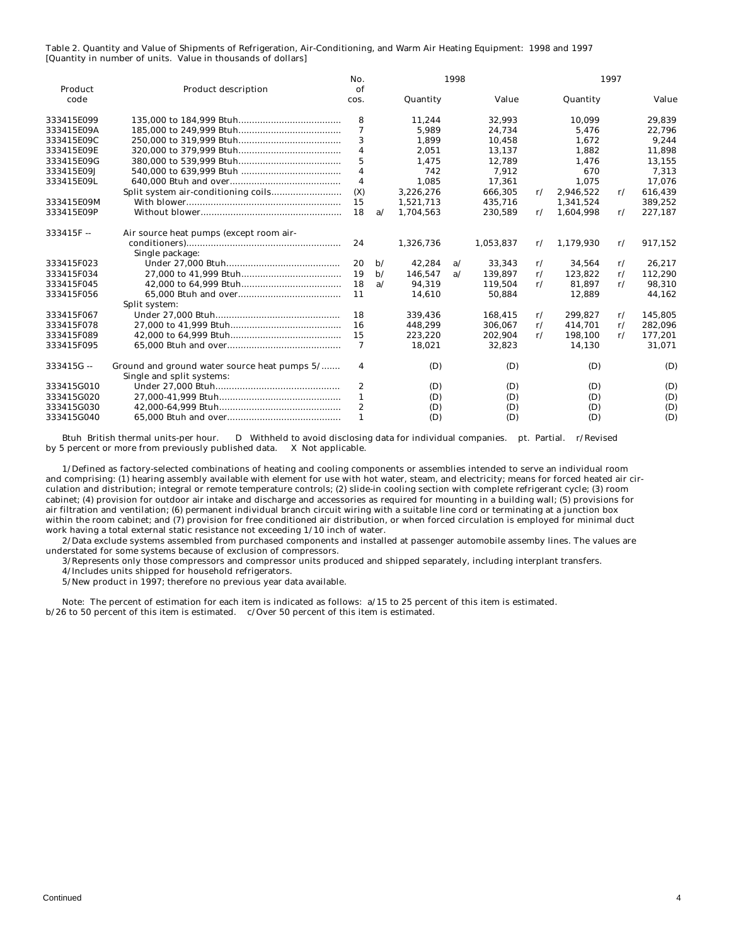|             |                                                                           | No.              |              |           | 1998 |           |               |           | 1997          |         |
|-------------|---------------------------------------------------------------------------|------------------|--------------|-----------|------|-----------|---------------|-----------|---------------|---------|
| Product     | <b>Product description</b>                                                | of               |              |           |      |           |               |           |               |         |
| code        |                                                                           | cos.             |              | Quantity  |      | Value     |               | Quantity  |               | Value   |
| 333415E099  |                                                                           | 8                |              | 11,244    |      | 32.993    |               | 10.099    |               | 29,839  |
| 333415E09A  |                                                                           | 7                |              | 5.989     |      | 24,734    |               | 5.476     |               | 22,796  |
| 333415E09C  |                                                                           | 3                |              | 1,899     |      | 10.458    |               | 1.672     |               | 9,244   |
| 333415E09E  |                                                                           | 4                |              | 2,051     |      | 13,137    |               | 1,882     |               | 11,898  |
| 333415E09G  |                                                                           | 5                |              | 1,475     |      | 12,789    |               | 1,476     |               | 13,155  |
| 333415E09J  |                                                                           | 4                |              | 742       |      | 7,912     |               | 670       |               | 7,313   |
| 333415E09L  |                                                                           | 4                |              | 1.085     |      | 17.361    |               | 1.075     |               | 17.076  |
|             |                                                                           | (X)              |              | 3,226,276 |      | 666.305   | $\mathbf{r}/$ | 2,946,522 | r/            | 616,439 |
| 333415E09M  |                                                                           | 15               |              | 1,521,713 |      | 435,716   |               | 1,341,524 |               | 389,252 |
| 333415E09P  |                                                                           | 18               | a/           | 1,704,563 |      | 230,589   | $\mathbf{r}/$ | 1,604,998 | r/            | 227,187 |
| $333415F -$ | Air source heat pumps (except room air-                                   |                  |              |           |      |           |               |           |               |         |
|             |                                                                           | 24               |              | 1,326,736 |      | 1,053,837 | $\mathbf{r}/$ | 1,179,930 | r/            | 917,152 |
|             | Single package:                                                           |                  |              |           |      |           |               |           |               |         |
| 333415F023  |                                                                           | 20               | $\mathbf{b}$ | 42.284    | a/   | 33.343    | $\mathbf{r}/$ | 34.564    | r/            | 26.217  |
| 333415F034  |                                                                           | 19               | $\mathbf{b}$ | 146.547   | a/   | 139.897   | $\mathbf{r}/$ | 123.822   | r/            | 112,290 |
| 333415F045  |                                                                           | 18               | a/           | 94.319    |      | 119.504   | $\mathbf{r}/$ | 81.897    | $\mathbf{r}/$ | 98,310  |
| 333415F056  |                                                                           | 11               |              | 14.610    |      | 50.884    |               | 12.889    |               | 44,162  |
|             | Split system:                                                             |                  |              |           |      |           |               |           |               |         |
| 333415F067  |                                                                           | 18               |              | 339.436   |      | 168.415   | $\mathbf{r}/$ | 299.827   | r/            | 145.805 |
| 333415F078  |                                                                           | 16               |              | 448,299   |      | 306.067   | r/            | 414,701   | $\mathbf{r}/$ | 282,096 |
| 333415F089  |                                                                           | 15               |              | 223,220   |      | 202,904   | $\mathbf{r}/$ | 198,100   | $\mathbf{r}/$ | 177,201 |
| 333415F095  |                                                                           | 7                |              | 18.021    |      | 32.823    |               | 14,130    |               | 31,071  |
| 333415G-    | Ground and ground water source heat pumps 5/<br>Single and split systems: | 4                |              | (D)       |      | (D)       |               | (D)       |               | (D)     |
| 333415G010  |                                                                           | $\boldsymbol{2}$ |              | (D)       |      | (D)       |               | (D)       |               | (D)     |
| 333415G020  |                                                                           | 1                |              | (D)       |      | (D)       |               | (D)       |               | (D)     |
| 333415G030  |                                                                           | $\boldsymbol{2}$ |              | (D)       |      | (D)       |               | (D)       |               | (D)     |
| 333415G040  |                                                                           | 1                |              | (D)       |      | (D)       |               | (D)       |               | (D)     |

 Btuh British thermal units-per hour. D Withheld to avoid disclosing data for individual companies. pt. Partial. r/Revised by 5 percent or more from previously published data. X Not applicable.

 1/Defined as factory-selected combinations of heating and cooling components or assemblies intended to serve an individual room and comprising: (1) hearing assembly available with element for use with hot water, steam, and electricity; means for forced heated air circulation and distribution; integral or remote temperature controls; (2) slide-in cooling section with complete refrigerant cycle; (3) room cabinet; (4) provision for outdoor air intake and discharge and accessories as required for mounting in a building wall; (5) provisions for air filtration and ventilation; (6) permanent individual branch circuit wiring with a suitable line cord or terminating at a junction box within the room cabinet; and (7) provision for free conditioned air distribution, or when forced circulation is employed for minimal duct work having a total external static resistance not exceeding 1/10 inch of water.

 2/Data exclude systems assembled from purchased components and installed at passenger automobile assemby lines. The values are understated for some systems because of exclusion of compressors.

3/Represents only those compressors and compressor units produced and shipped separately, including interplant transfers.

4/Includes units shipped for household refrigerators.

5/New product in 1997; therefore no previous year data available.

 Note: The percent of estimation for each item is indicated as follows: a/15 to 25 percent of this item is estimated. b/26 to 50 percent of this item is estimated. c/Over 50 percent of this item is estimated.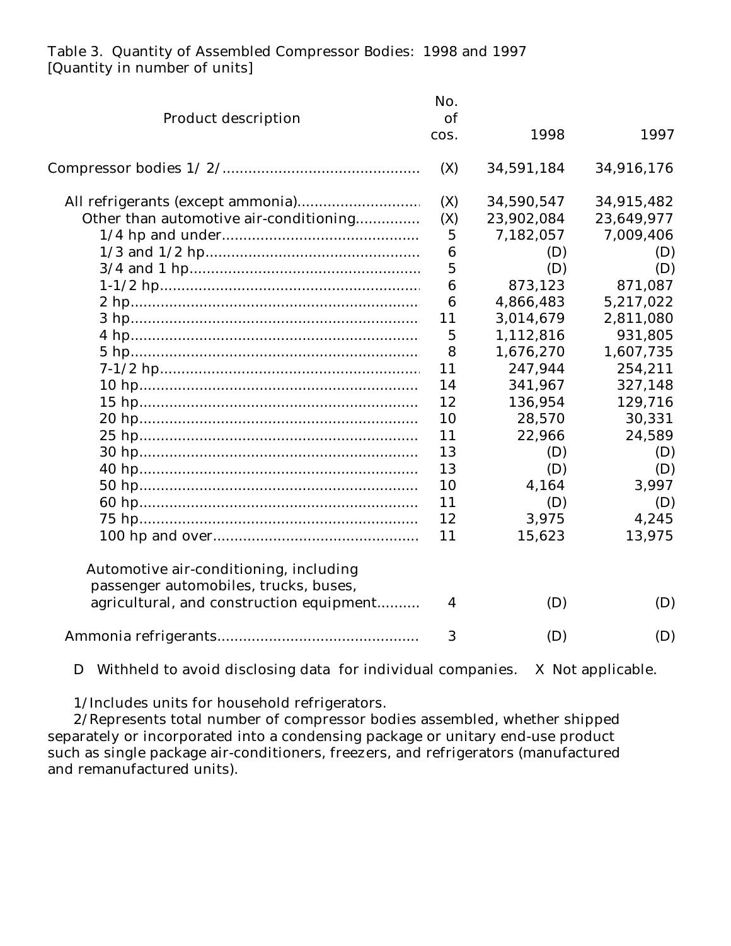## Table 3. Quantity of Assembled Compressor Bodies: 1998 and 1997 [Quantity in number of units]

|                                          | No.              |            |            |
|------------------------------------------|------------------|------------|------------|
| <b>Product description</b>               | <b>of</b>        |            |            |
|                                          | COS.             | 1998       | 1997       |
|                                          | (X)              | 34,591,184 | 34,916,176 |
|                                          | (X)              | 34,590,547 | 34,915,482 |
| Other than automotive air-conditioning   | (X)              | 23,902,084 | 23,649,977 |
|                                          | $\overline{5}$   | 7,182,057  | 7,009,406  |
|                                          | 6                | (D)        | (D)        |
|                                          | $\overline{5}$   | (D)        | (D)        |
|                                          | $\boldsymbol{6}$ | 873,123    | 871,087    |
|                                          | 6                | 4,866,483  | 5,217,022  |
|                                          | 11               | 3,014,679  | 2,811,080  |
|                                          | 5                | 1,112,816  | 931,805    |
|                                          | 8                | 1,676,270  | 1,607,735  |
|                                          | 11               | 247,944    | 254,211    |
|                                          | 14               | 341,967    | 327,148    |
|                                          | 12               | 136,954    | 129,716    |
|                                          | 10               | 28,570     | 30,331     |
|                                          | 11               | 22,966     | 24,589     |
|                                          | 13               | (D)        | (D)        |
|                                          | 13               | (D)        | (D)        |
|                                          | 10               | 4,164      | 3,997      |
|                                          | 11               | (D)        | (D)        |
|                                          | 12               | 3,975      | 4,245      |
|                                          | 11               | 15,623     | 13,975     |
| Automotive air-conditioning, including   |                  |            |            |
| passenger automobiles, trucks, buses,    |                  |            |            |
| agricultural, and construction equipment | 4                | (D)        | (D)        |
|                                          | 3                | (D)        | (D)        |

D Withheld to avoid disclosing data for individual companies. X Not applicable.

1/Includes units for household refrigerators.

2/Represents total number of compressor bodies assembled, whether shipped separately or incorporated into a condensing package or unitary end-use product such as single package air-conditioners, freezers, and refrigerators (manufactured and remanufactured units).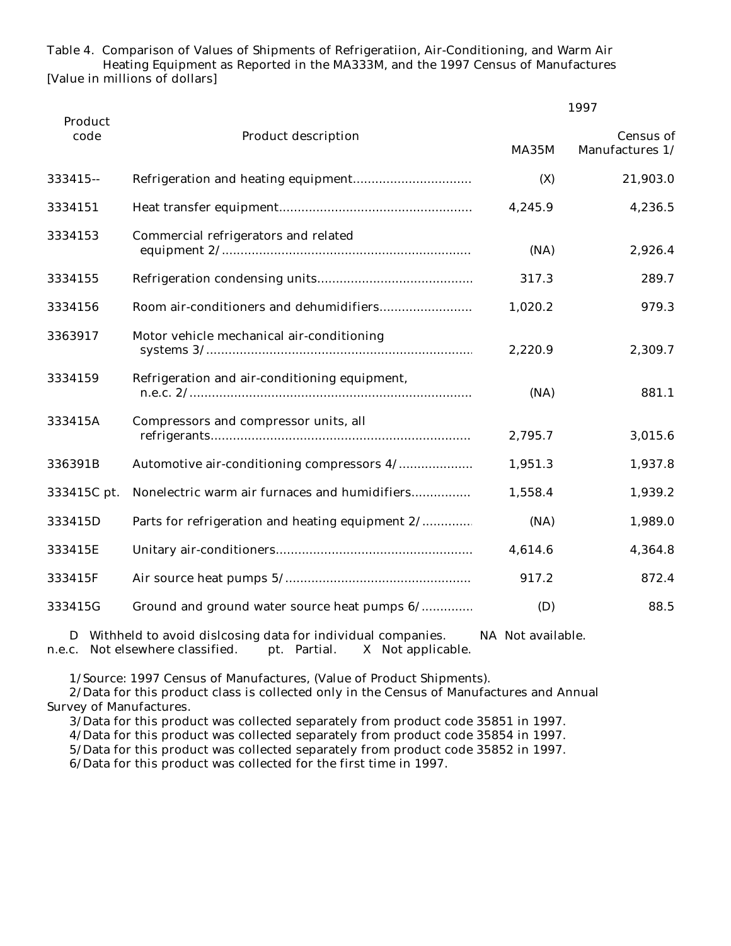Table 4. Comparison of Values of Shipments of Refrigeratiion, Air-Conditioning, and Warm Air Heating Equipment as Reported in the MA333M, and the 1997 Census of Manufactures [Value in millions of dollars]

|                 |                                                  |              | 1997                                |  |
|-----------------|--------------------------------------------------|--------------|-------------------------------------|--|
| Product<br>code | <b>Product description</b>                       | <b>MA35M</b> | <b>Census of</b><br>Manufactures 1/ |  |
| 333415 --       |                                                  | (X)          | 21,903.0                            |  |
| 3334151         |                                                  | 4,245.9      | 4,236.5                             |  |
| 3334153         | Commercial refrigerators and related             | (NA)         | 2,926.4                             |  |
| 3334155         |                                                  | 317.3        | 289.7                               |  |
| 3334156         |                                                  | 1,020.2      | 979.3                               |  |
| 3363917         | Motor vehicle mechanical air-conditioning        | 2,220.9      | 2,309.7                             |  |
| 3334159         | Refrigeration and air-conditioning equipment,    | (NA)         | 881.1                               |  |
| 333415A         | Compressors and compressor units, all            | 2,795.7      | 3,015.6                             |  |
| 336391B         | Automotive air-conditioning compressors 4/       | 1,951.3      | 1,937.8                             |  |
| 333415C pt.     | Nonelectric warm air furnaces and humidifiers    | 1,558.4      | 1,939.2                             |  |
| 333415D         | Parts for refrigeration and heating equipment 2/ | (NA)         | 1,989.0                             |  |
| 333415E         |                                                  | 4,614.6      | 4,364.8                             |  |
| 333415F         |                                                  | 917.2        | 872.4                               |  |
| 333415G         | Ground and ground water source heat pumps 6/     | (D)          | 88.5                                |  |

 D Withheld to avoid dislcosing data for individual companies. NA Not available. n.e.c. Not elsewhere classified. pt. Partial. X Not applicable.

1/Source: 1997 Census of Manufactures, (Value of Product Shipments).

 2/Data for this product class is collected only in the Census of Manufactures and Annual Survey of Manufactures.

3/Data for this product was collected separately from product code 35851 in 1997.

4/Data for this product was collected separately from product code 35854 in 1997.

5/Data for this product was collected separately from product code 35852 in 1997.

6/Data for this product was collected for the first time in 1997.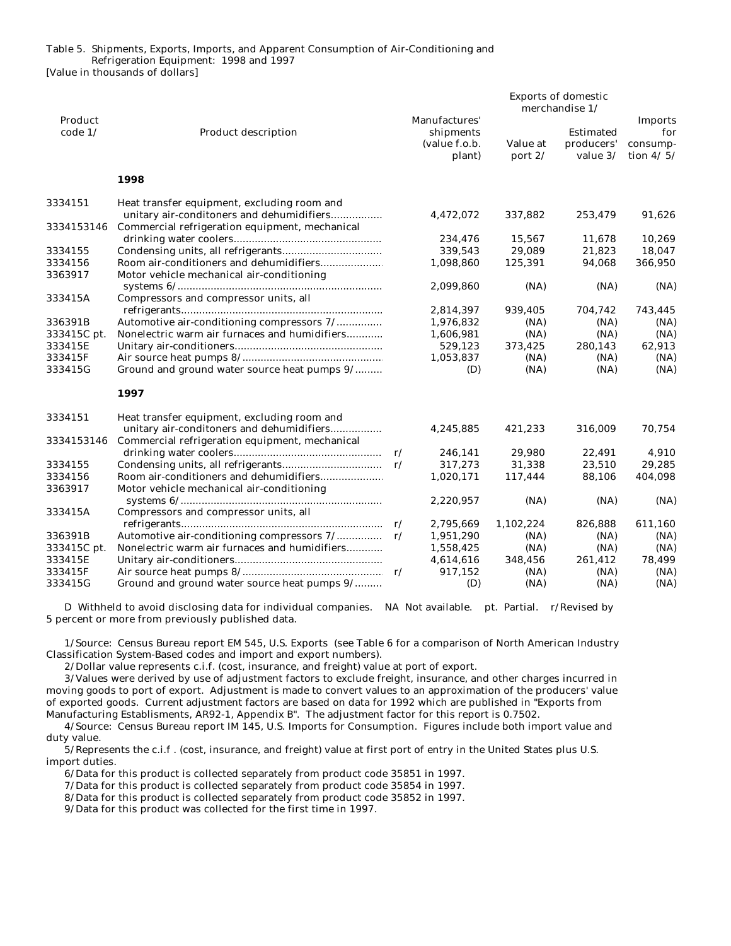Table 5. Shipments, Exports, Imports, and Apparent Consumption of Air-Conditioning and Refrigeration Equipment: 1998 and 1997

[Value in thousands of dollars]

|             |                                                |                            |           | <b>Exports of domestic</b> |                |
|-------------|------------------------------------------------|----------------------------|-----------|----------------------------|----------------|
|             |                                                |                            |           | merchandise 1/             |                |
| Product     |                                                | Manufactures'              |           |                            | <b>Imports</b> |
| code $1/$   | <b>Product description</b>                     | shipments                  |           | <b>Estimated</b>           | for            |
|             |                                                | (value f.o.b.              | Value at  | producers'                 | consump-       |
|             |                                                | plant)                     | port $2/$ | value 3/                   | tion $4/5/$    |
|             | 1998                                           |                            |           |                            |                |
| 3334151     | Heat transfer equipment, excluding room and    |                            |           |                            |                |
|             | unitary air-conditoners and dehumidifiers      | 4,472,072                  | 337,882   | 253,479                    | 91,626         |
| 3334153146  | Commercial refrigeration equipment, mechanical |                            |           |                            |                |
|             |                                                | 234,476                    | 15,567    | 11,678                     | 10,269         |
| 3334155     |                                                | 339,543                    | 29,089    | 21,823                     | 18,047         |
| 3334156     |                                                | 1,098,860                  | 125,391   | 94,068                     | 366,950        |
| 3363917     | Motor vehicle mechanical air-conditioning      |                            |           |                            |                |
|             |                                                | 2,099,860                  | (NA)      | (NA)                       | (NA)           |
| 333415A     | Compressors and compressor units, all          |                            |           |                            |                |
|             |                                                | 2,814,397                  | 939,405   | 704,742                    | 743,445        |
| 336391B     | Automotive air-conditioning compressors 7/     | 1,976,832                  | (NA)      | (NA)                       | (NA)           |
| 333415C pt. | Nonelectric warm air furnaces and humidifiers  | 1,606,981                  | (NA)      | (NA)                       | (NA)           |
| 333415E     |                                                | 529,123                    | 373,425   | 280,143                    | 62,913         |
| 333415F     |                                                | 1,053,837                  | (NA)      | (NA)                       | (NA)           |
| 333415G     | Ground and ground water source heat pumps 9/   | (D)                        | (NA)      | (NA)                       | (NA)           |
|             | 1997                                           |                            |           |                            |                |
| 3334151     | Heat transfer equipment, excluding room and    |                            |           |                            |                |
|             | unitary air-conditoners and dehumidifiers      | 4,245,885                  | 421,233   | 316,009                    | 70,754         |
| 3334153146  | Commercial refrigeration equipment, mechanical |                            |           |                            |                |
|             |                                                | 246,141                    | 29,980    | 22,491                     | 4,910          |
| 3334155     |                                                | 317,273<br>$\mathbf{r}/$   | 31,338    | 23,510                     | 29,285         |
| 3334156     | Room air-conditioners and dehumidifiers        | 1,020,171                  | 117,444   | 88,106                     | 404,098        |
| 3363917     | Motor vehicle mechanical air-conditioning      |                            |           |                            |                |
|             |                                                | 2,220,957                  | (NA)      | (NA)                       | (NA)           |
| 333415A     | Compressors and compressor units, all          |                            |           |                            |                |
|             |                                                | 2,795,669                  | 1,102,224 | 826,888                    | 611,160        |
| 336391B     | Automotive air-conditioning compressors 7/     | 1,951,290<br>$\mathbf{r}/$ | (NA)      | (NA)                       | (NA)           |
| 333415C pt. | Nonelectric warm air furnaces and humidifiers  | 1,558,425                  | (NA)      | (NA)                       | (NA)           |
| 333415E     |                                                | 4,614,616                  | 348,456   | 261,412                    | 78,499         |
| 333415F     |                                                | 917,152                    | (NA)      | (NA)                       | (NA)           |
| 333415G     | Ground and ground water source heat pumps 9/   | (D)                        | (NA)      | (NA)                       | (NA)           |

 D Withheld to avoid disclosing data for individual companies. NA Not available. pt. Partial. r/Revised by 5 percent or more from previously published data.

 1/Source: Census Bureau report EM 545, U.S. Exports (see Table 6 for a comparison of North American Industry Classification System-Based codes and import and export numbers).

2/Dollar value represents c.i.f. (cost, insurance, and freight) value at port of export.

 3/Values were derived by use of adjustment factors to exclude freight, insurance, and other charges incurred in moving goods to port of export. Adjustment is made to convert values to an approximation of the producers' value of exported goods. Current adjustment factors are based on data for 1992 which are published in "Exports from Manufacturing Establisments, AR92-1, Appendix B". The adjustment factor for this report is 0.7502.

 4/Source: Census Bureau report IM 145, U.S. Imports for Consumption. Figures include both import value and duty value.

 5/Represents the c.i.f . (cost, insurance, and freight) value at first port of entry in the United States plus U.S. import duties.

6/Data for this product is collected separately from product code 35851 in 1997.

7/Data for this product is collected separately from product code 35854 in 1997.

8/Data for this product is collected separately from product code 35852 in 1997.

9/Data for this product was collected for the first time in 1997.